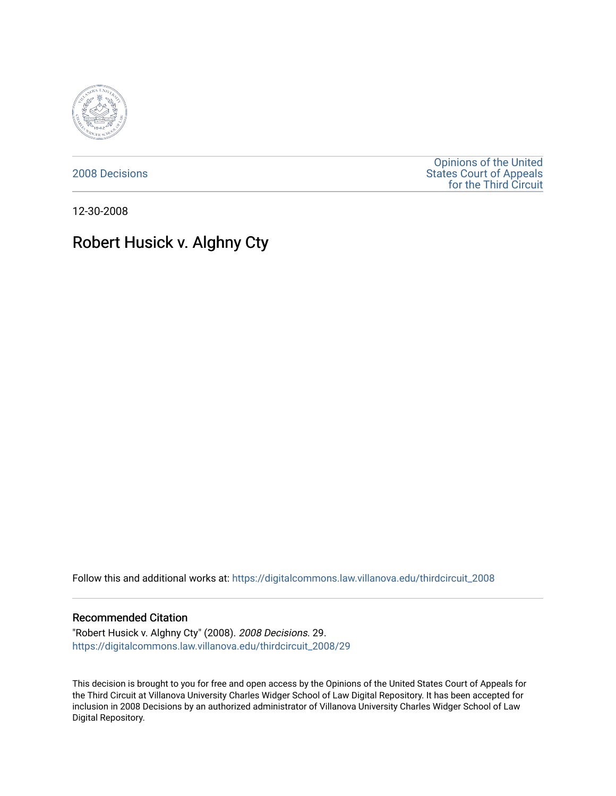

[2008 Decisions](https://digitalcommons.law.villanova.edu/thirdcircuit_2008)

[Opinions of the United](https://digitalcommons.law.villanova.edu/thirdcircuit)  [States Court of Appeals](https://digitalcommons.law.villanova.edu/thirdcircuit)  [for the Third Circuit](https://digitalcommons.law.villanova.edu/thirdcircuit) 

12-30-2008

# Robert Husick v. Alghny Cty

Follow this and additional works at: [https://digitalcommons.law.villanova.edu/thirdcircuit\\_2008](https://digitalcommons.law.villanova.edu/thirdcircuit_2008?utm_source=digitalcommons.law.villanova.edu%2Fthirdcircuit_2008%2F29&utm_medium=PDF&utm_campaign=PDFCoverPages) 

### Recommended Citation

"Robert Husick v. Alghny Cty" (2008). 2008 Decisions. 29. [https://digitalcommons.law.villanova.edu/thirdcircuit\\_2008/29](https://digitalcommons.law.villanova.edu/thirdcircuit_2008/29?utm_source=digitalcommons.law.villanova.edu%2Fthirdcircuit_2008%2F29&utm_medium=PDF&utm_campaign=PDFCoverPages)

This decision is brought to you for free and open access by the Opinions of the United States Court of Appeals for the Third Circuit at Villanova University Charles Widger School of Law Digital Repository. It has been accepted for inclusion in 2008 Decisions by an authorized administrator of Villanova University Charles Widger School of Law Digital Repository.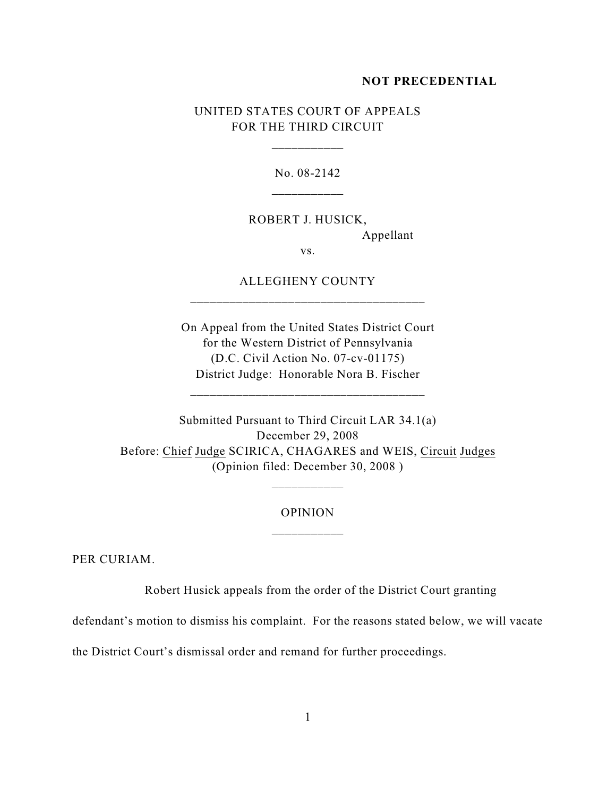#### **NOT PRECEDENTIAL**

## UNITED STATES COURT OF APPEALS FOR THE THIRD CIRCUIT

\_\_\_\_\_\_\_\_\_\_\_

No. 08-2142

ROBERT J. HUSICK, Appellant

ALLEGHENY COUNTY

\_\_\_\_\_\_\_\_\_\_\_\_\_\_\_\_\_\_\_\_\_\_\_\_\_\_\_\_\_\_\_\_\_\_\_\_

vs.

On Appeal from the United States District Court for the Western District of Pennsylvania (D.C. Civil Action No. 07-cv-01175) District Judge: Honorable Nora B. Fischer

\_\_\_\_\_\_\_\_\_\_\_\_\_\_\_\_\_\_\_\_\_\_\_\_\_\_\_\_\_\_\_\_\_\_\_\_

Submitted Pursuant to Third Circuit LAR 34.1(a) December 29, 2008 Before: Chief Judge SCIRICA, CHAGARES and WEIS, Circuit Judges (Opinion filed: December 30, 2008 )

## OPINION \_\_\_\_\_\_\_\_\_\_\_

PER CURIAM.

Robert Husick appeals from the order of the District Court granting

defendant's motion to dismiss his complaint. For the reasons stated below, we will vacate

the District Court's dismissal order and remand for further proceedings.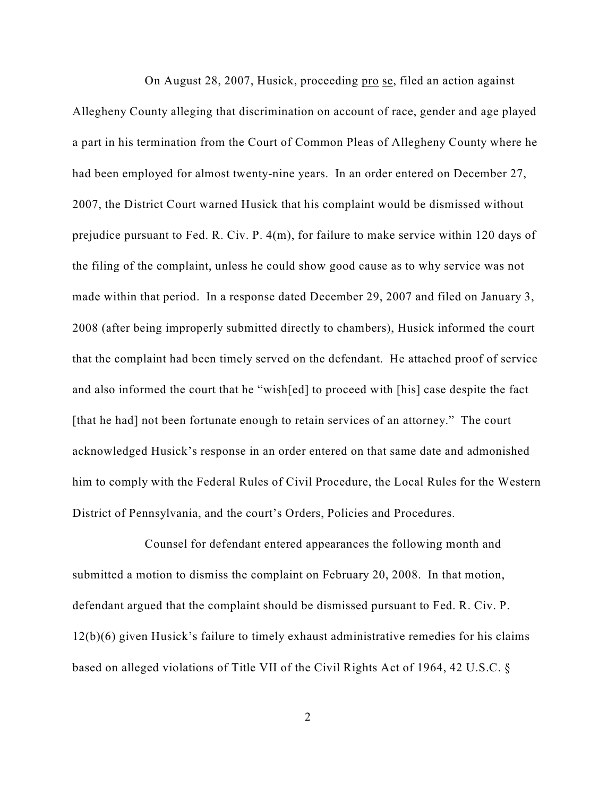On August 28, 2007, Husick, proceeding pro se, filed an action against Allegheny County alleging that discrimination on account of race, gender and age played a part in his termination from the Court of Common Pleas of Allegheny County where he had been employed for almost twenty-nine years. In an order entered on December 27, 2007, the District Court warned Husick that his complaint would be dismissed without prejudice pursuant to Fed. R. Civ. P. 4(m), for failure to make service within 120 days of the filing of the complaint, unless he could show good cause as to why service was not made within that period. In a response dated December 29, 2007 and filed on January 3, 2008 (after being improperly submitted directly to chambers), Husick informed the court that the complaint had been timely served on the defendant. He attached proof of service and also informed the court that he "wish[ed] to proceed with [his] case despite the fact [that he had] not been fortunate enough to retain services of an attorney." The court acknowledged Husick's response in an order entered on that same date and admonished him to comply with the Federal Rules of Civil Procedure, the Local Rules for the Western District of Pennsylvania, and the court's Orders, Policies and Procedures.

Counsel for defendant entered appearances the following month and submitted a motion to dismiss the complaint on February 20, 2008. In that motion, defendant argued that the complaint should be dismissed pursuant to Fed. R. Civ. P. 12(b)(6) given Husick's failure to timely exhaust administrative remedies for his claims based on alleged violations of Title VII of the Civil Rights Act of 1964, 42 U.S.C. §

2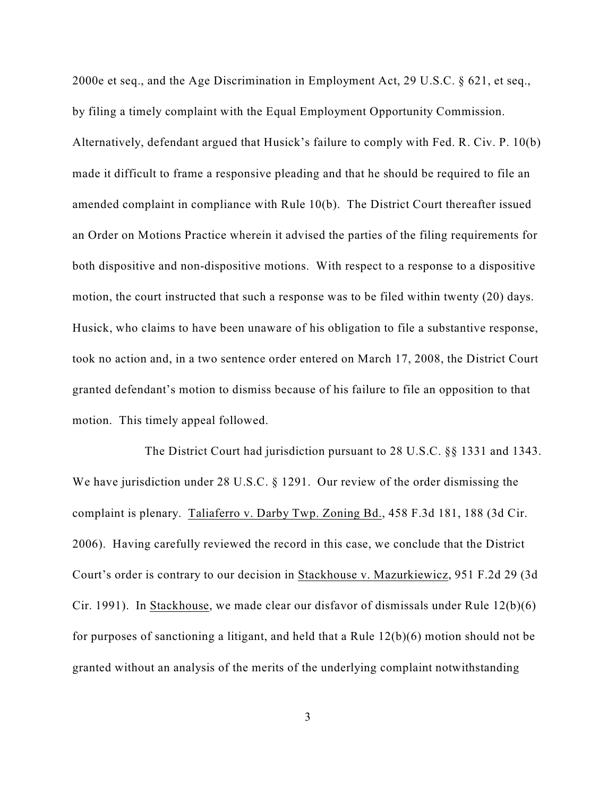2000e et seq., and the Age Discrimination in Employment Act, 29 U.S.C. § 621, et seq., by filing a timely complaint with the Equal Employment Opportunity Commission. Alternatively, defendant argued that Husick's failure to comply with Fed. R. Civ. P. 10(b) made it difficult to frame a responsive pleading and that he should be required to file an amended complaint in compliance with Rule 10(b). The District Court thereafter issued an Order on Motions Practice wherein it advised the parties of the filing requirements for both dispositive and non-dispositive motions. With respect to a response to a dispositive motion, the court instructed that such a response was to be filed within twenty (20) days. Husick, who claims to have been unaware of his obligation to file a substantive response, took no action and, in a two sentence order entered on March 17, 2008, the District Court granted defendant's motion to dismiss because of his failure to file an opposition to that motion. This timely appeal followed.

The District Court had jurisdiction pursuant to 28 U.S.C. §§ 1331 and 1343. We have jurisdiction under 28 U.S.C. § 1291. Our review of the order dismissing the complaint is plenary. Taliaferro v. Darby Twp. Zoning Bd., 458 F.3d 181, 188 (3d Cir. 2006). Having carefully reviewed the record in this case, we conclude that the District Court's order is contrary to our decision in Stackhouse v. Mazurkiewicz, 951 F.2d 29 (3d Cir. 1991). In Stackhouse, we made clear our disfavor of dismissals under Rule 12(b)(6) for purposes of sanctioning a litigant, and held that a Rule 12(b)(6) motion should not be granted without an analysis of the merits of the underlying complaint notwithstanding